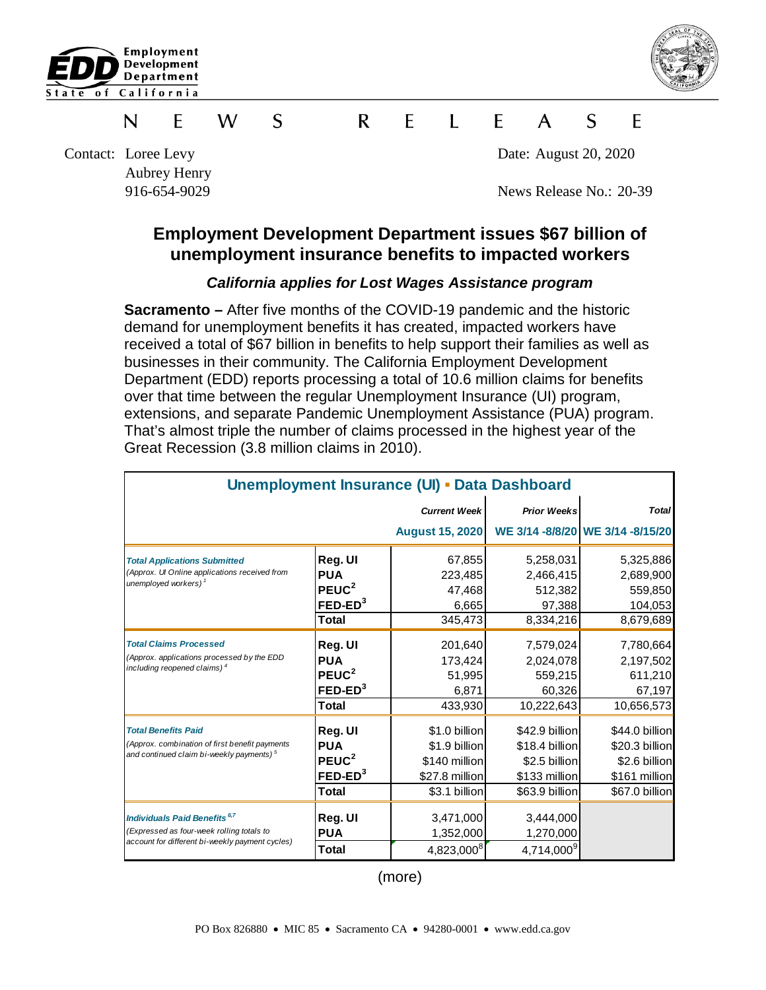



#### **W** S  $\mathsf{R}$  $\mathsf{F}$  $\mathbf{L}$   $\mathbf{F}$ S F N E  $\mathsf{A}$

Contact: Loree Levy Date: August 20, 2020 Aubrey Henry

916-654-9029 News Release No.: 20-39

# **Employment Development Department issues \$67 billion of unemployment insurance benefits to impacted workers**

### *California applies for Lost Wages Assistance program*

**Sacramento –** After five months of the COVID-19 pandemic and the historic demand for unemployment benefits it has created, impacted workers have received a total of \$67 billion in benefits to help support their families as well as businesses in their community. The California Employment Development Department (EDD) reports processing a total of 10.6 million claims for benefits over that time between the regular Unemployment Insurance (UI) program, extensions, and separate Pandemic Unemployment Assistance (PUA) program. That's almost triple the number of claims processed in the highest year of the Great Recession (3.8 million claims in 2010).

| <b>Unemployment Insurance (UI) - Data Dashboard</b>                                                                                  |                   |                        |                        |                                  |
|--------------------------------------------------------------------------------------------------------------------------------------|-------------------|------------------------|------------------------|----------------------------------|
|                                                                                                                                      |                   | <b>Current Week</b>    | <b>Prior Weeks</b>     | <b>Total</b>                     |
|                                                                                                                                      |                   | <b>August 15, 2020</b> |                        | WE 3/14 -8/8/20 WE 3/14 -8/15/20 |
| <b>Total Applications Submitted</b><br>(Approx. UI Online applications received from<br>unemployed workers) $1$                      | Reg. UI           | 67,855                 | 5,258,031              | 5,325,886                        |
|                                                                                                                                      | <b>PUA</b>        | 223,485                | 2,466,415              | 2,689,900                        |
|                                                                                                                                      | PEUC <sup>2</sup> | 47,468                 | 512,382                | 559,850                          |
|                                                                                                                                      | $FED-ED3$         | 6,665                  | 97,388                 | 104,053                          |
|                                                                                                                                      | <b>Total</b>      | 345,473                | 8,334,216              | 8,679,689                        |
| <b>Total Claims Processed</b><br>(Approx. applications processed by the EDD<br>including reopened claims) <sup>4</sup>               | Reg. UI           | 201,640                | 7,579,024              | 7,780,664                        |
|                                                                                                                                      | <b>PUA</b>        | 173,424                | 2,024,078              | 2,197,502                        |
|                                                                                                                                      | PEUC <sup>2</sup> | 51,995                 | 559,215                | 611,210                          |
|                                                                                                                                      | $FED-ED3$         | 6,871                  | 60,326                 | 67,197                           |
|                                                                                                                                      | <b>Total</b>      | 433,930                | 10,222,643             | 10,656,573                       |
| <b>Total Benefits Paid</b><br>(Approx. combination of first benefit payments<br>and continued claim bi-weekly payments) <sup>5</sup> | Reg. UI           | \$1.0 billion          | \$42.9 billion         | \$44.0 billion                   |
|                                                                                                                                      | <b>PUA</b>        | \$1.9 billion          | \$18.4 billion         | \$20.3 billion                   |
|                                                                                                                                      | PEUC <sup>2</sup> | \$140 million          | \$2.5 billion          | \$2.6 billion                    |
|                                                                                                                                      | $FED-ED3$         | \$27.8 million         | \$133 million          | \$161 million                    |
|                                                                                                                                      | Total             | \$3.1 billion          | \$63.9 billion         | \$67.0 billion                   |
| <b>Individuals Paid Benefits 6,7</b>                                                                                                 | Reg. UI           | 3,471,000              | 3,444,000              |                                  |
| (Expressed as four-week rolling totals to<br>account for different bi-weekly payment cycles)                                         | <b>PUA</b>        | 1,352,000              | 1,270,000              |                                  |
|                                                                                                                                      | Total             | 4,823,000 <sup>8</sup> | 4,714,000 <sup>9</sup> |                                  |

(more)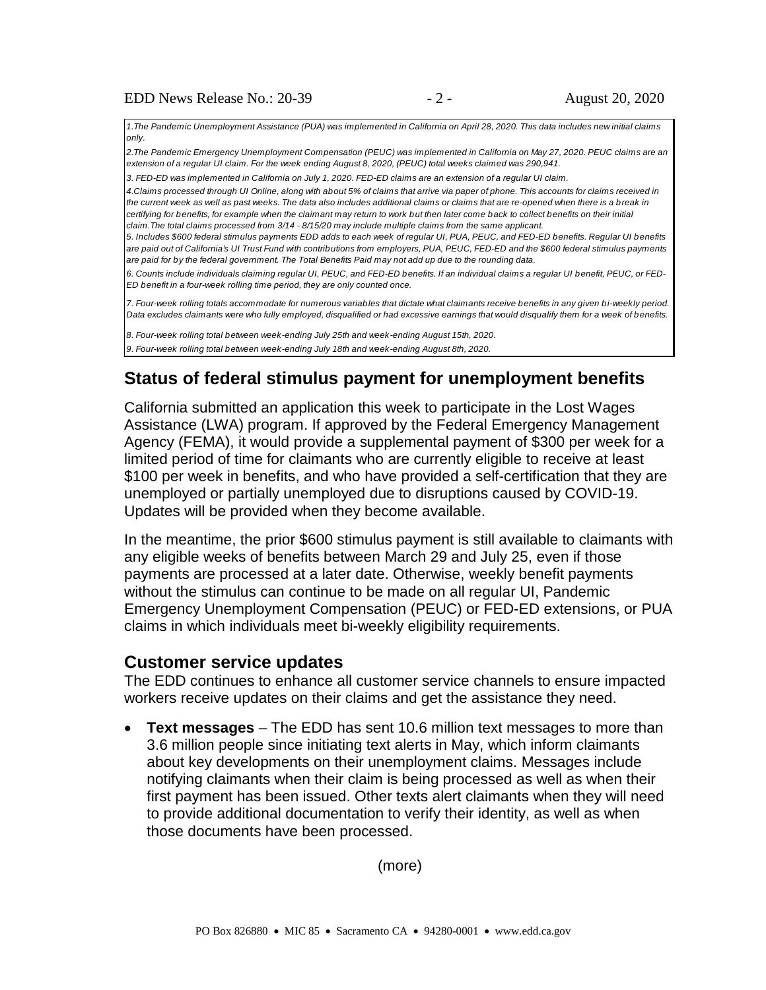*1.The Pandemic Unemployment Assistance (PUA) was implemented in California on April 28, 2020. This data includes new initial claims only.*

*2.The Pandemic Emergency Unemployment Compensation (PEUC) was implemented in California on May 27, 2020. PEUC claims are an extension of a regular UI claim. For the week ending August 8, 2020, (PEUC) total weeks claimed was 290,941.*

*3. FED-ED was implemented in California on July 1, 2020. FED-ED claims are an extension of a regular UI claim.* 

*4.Claims processed through UI Online, along with about 5% of claims that arrive via paper of phone. This accounts for claims received in the current week as well as past weeks. The data also includes additional claims or claims that are re-opened when there is a break in certifying for benefits, for example when the claimant may return to work but then later come back to collect benefits on their initial claim.The total claims processed from 3/14 - 8/15/20 may include multiple claims from the same applicant.* 

*5. Includes \$600 federal stimulus payments EDD adds to each week of regular UI, PUA, PEUC, and FED-ED benefits. Regular UI benefits are paid out of California's UI Trust Fund with contributions from employers, PUA, PEUC, FED-ED and the \$600 federal stimulus payments are paid for by the federal government. The Total Benefits Paid may not add up due to the rounding data.* 

*6. Counts include individuals claiming regular UI, PEUC, and FED-ED benefits. If an individual claims a regular UI benefit, PEUC, or FED-ED benefit in a four-week rolling time period, they are only counted once.* 

*7. Four-week rolling totals accommodate for numerous variables that dictate what claimants receive benefits in any given bi-weekly period. Data excludes claimants were who fully employed, disqualified or had excessive earnings that would disqualify them for a week of benefits.*

*8. Four-week rolling total between week-ending July 25th and week-ending August 15th, 2020.*

*9. Four-week rolling total between week-ending July 18th and week-ending August 8th, 2020.*

## **Status of federal stimulus payment for unemployment benefits**

California submitted an application this week to participate in the Lost Wages Assistance (LWA) program. If approved by the Federal Emergency Management Agency (FEMA), it would provide a supplemental payment of \$300 per week for a limited period of time for claimants who are currently eligible to receive at least \$100 per week in benefits, and who have provided a self-certification that they are unemployed or partially unemployed due to disruptions caused by COVID-19. Updates will be provided when they become available.

In the meantime, the prior \$600 stimulus payment is still available to claimants with any eligible weeks of benefits between March 29 and July 25, even if those payments are processed at a later date. Otherwise, weekly benefit payments without the stimulus can continue to be made on all regular UI, Pandemic Emergency Unemployment Compensation (PEUC) or FED-ED extensions, or PUA claims in which individuals meet bi-weekly eligibility requirements.

#### **Customer service updates**

The EDD continues to enhance all customer service channels to ensure impacted workers receive updates on their claims and get the assistance they need.

• **Text messages** – The EDD has sent 10.6 million text messages to more than 3.6 million people since initiating text alerts in May, which inform claimants about key developments on their unemployment claims. Messages include notifying claimants when their claim is being processed as well as when their first payment has been issued. Other texts alert claimants when they will need to provide additional documentation to verify their identity, as well as when those documents have been processed.

(more)